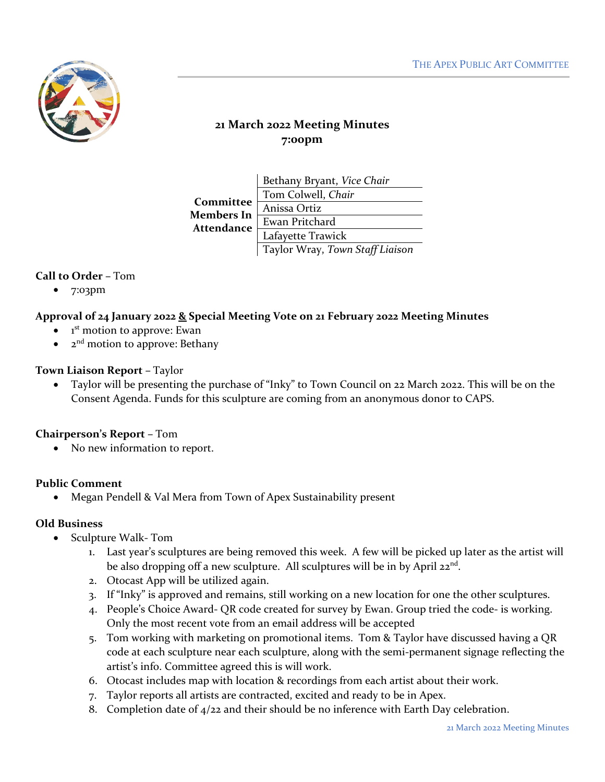

# **21 March 2022 Meeting Minutes 7:00pm**

| Committee<br>Members In<br>Attendance | Bethany Bryant, Vice Chair      |
|---------------------------------------|---------------------------------|
|                                       | Tom Colwell, Chair              |
|                                       | Anissa Ortiz                    |
|                                       | Ewan Pritchard                  |
|                                       | Lafayette Trawick               |
|                                       | Taylor Wray, Town Staff Liaison |

## **Call to Order –** Tom

• 7:03pm

### **Approval of 24 January 2022 & Special Meeting Vote on 21 February 2022 Meeting Minutes**

- $\bullet$ 1<sup>st</sup> motion to approve: Ewan
- $2<sup>nd</sup>$  motion to approve: Bethany

#### **Town Liaison Report –** Taylor

• Taylor will be presenting the purchase of "Inky" to Town Council on 22 March 2022. This will be on the Consent Agenda. Funds for this sculpture are coming from an anonymous donor to CAPS.

### **Chairperson's Report –** Tom

• No new information to report.

### **Public Comment**

• Megan Pendell & Val Mera from Town of Apex Sustainability present

#### **Old Business**

- Sculpture Walk- Tom
	- 1. Last year's sculptures are being removed this week. A few will be picked up later as the artist will be also dropping off a new sculpture. All sculptures will be in by April 22<sup>nd</sup>.
	- 2. Otocast App will be utilized again.
	- 3. If "Inky" is approved and remains, still working on a new location for one the other sculptures.
	- 4. People's Choice Award- QR code created for survey by Ewan. Group tried the code- is working. Only the most recent vote from an email address will be accepted
	- 5. Tom working with marketing on promotional items. Tom & Taylor have discussed having a QR code at each sculpture near each sculpture, along with the semi-permanent signage reflecting the artist's info. Committee agreed this is will work.
	- 6. Otocast includes map with location & recordings from each artist about their work.
	- 7. Taylor reports all artists are contracted, excited and ready to be in Apex.
	- 8. Completion date of  $4/22$  and their should be no inference with Earth Day celebration.